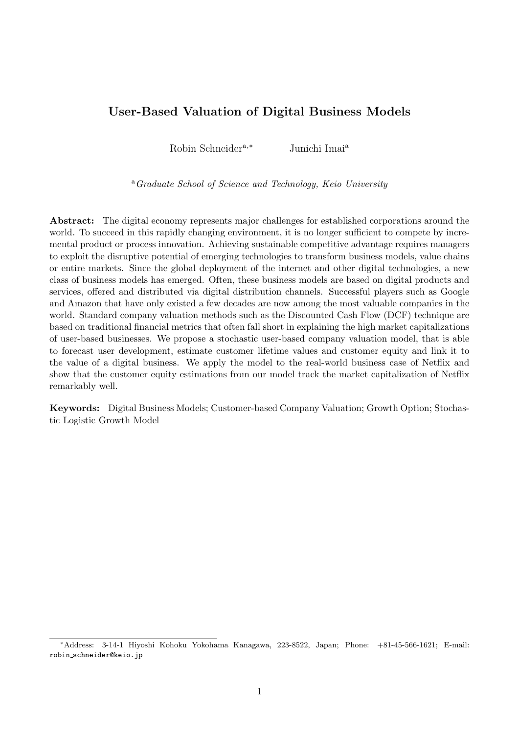# User-Based Valuation of Digital Business Models

Robin Schneider<sup>a,∗</sup> Junichi Imai<sup>a</sup>

<sup>a</sup>Graduate School of Science and Technology, Keio University

Abstract: The digital economy represents major challenges for established corporations around the world. To succeed in this rapidly changing environment, it is no longer sufficient to compete by incremental product or process innovation. Achieving sustainable competitive advantage requires managers to exploit the disruptive potential of emerging technologies to transform business models, value chains or entire markets. Since the global deployment of the internet and other digital technologies, a new class of business models has emerged. Often, these business models are based on digital products and services, offered and distributed via digital distribution channels. Successful players such as Google and Amazon that have only existed a few decades are now among the most valuable companies in the world. Standard company valuation methods such as the Discounted Cash Flow (DCF) technique are based on traditional financial metrics that often fall short in explaining the high market capitalizations of user-based businesses. We propose a stochastic user-based company valuation model, that is able to forecast user development, estimate customer lifetime values and customer equity and link it to the value of a digital business. We apply the model to the real-world business case of Netflix and show that the customer equity estimations from our model track the market capitalization of Netflix remarkably well.

Keywords: Digital Business Models; Customer-based Company Valuation; Growth Option; Stochastic Logistic Growth Model

<sup>∗</sup>Address: 3-14-1 Hiyoshi Kohoku Yokohama Kanagawa, 223-8522, Japan; Phone: +81-45-566-1621; E-mail: robin schneider@keio.jp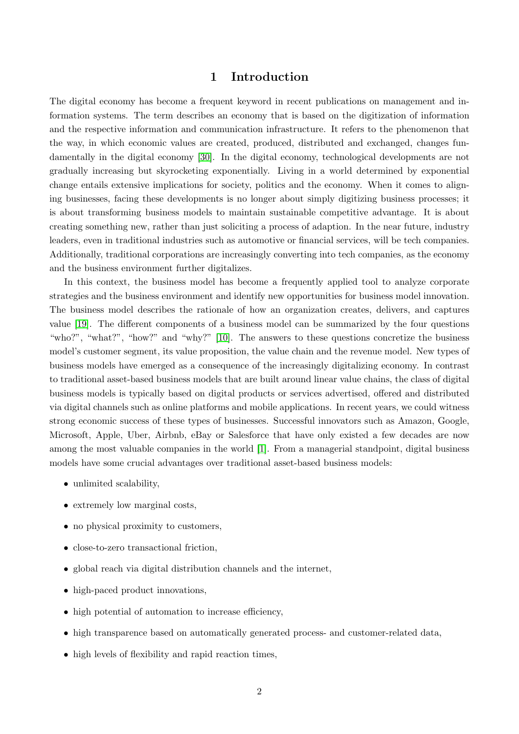## 1 Introduction

The digital economy has become a frequent keyword in recent publications on management and information systems. The term describes an economy that is based on the digitization of information and the respective information and communication infrastructure. It refers to the phenomenon that the way, in which economic values are created, produced, distributed and exchanged, changes fundamentally in the digital economy [\[30\]](#page-15-0). In the digital economy, technological developments are not gradually increasing but skyrocketing exponentially. Living in a world determined by exponential change entails extensive implications for society, politics and the economy. When it comes to aligning businesses, facing these developments is no longer about simply digitizing business processes; it is about transforming business models to maintain sustainable competitive advantage. It is about creating something new, rather than just soliciting a process of adaption. In the near future, industry leaders, even in traditional industries such as automotive or financial services, will be tech companies. Additionally, traditional corporations are increasingly converting into tech companies, as the economy and the business environment further digitalizes.

In this context, the business model has become a frequently applied tool to analyze corporate strategies and the business environment and identify new opportunities for business model innovation. The business model describes the rationale of how an organization creates, delivers, and captures value [\[19\]](#page-14-0). The different components of a business model can be summarized by the four questions "who?", "what?", "how?" and "why?" [\[10\]](#page-14-1). The answers to these questions concretize the business model's customer segment, its value proposition, the value chain and the revenue model. New types of business models have emerged as a consequence of the increasingly digitalizing economy. In contrast to traditional asset-based business models that are built around linear value chains, the class of digital business models is typically based on digital products or services advertised, offered and distributed via digital channels such as online platforms and mobile applications. In recent years, we could witness strong economic success of these types of businesses. Successful innovators such as Amazon, Google, Microsoft, Apple, Uber, Airbnb, eBay or Salesforce that have only existed a few decades are now among the most valuable companies in the world [\[1\]](#page-12-0). From a managerial standpoint, digital business models have some crucial advantages over traditional asset-based business models:

- unlimited scalability,
- extremely low marginal costs,
- no physical proximity to customers,
- close-to-zero transactional friction,
- global reach via digital distribution channels and the internet,
- high-paced product innovations,
- high potential of automation to increase efficiency,
- high transparence based on automatically generated process- and customer-related data,
- high levels of flexibility and rapid reaction times,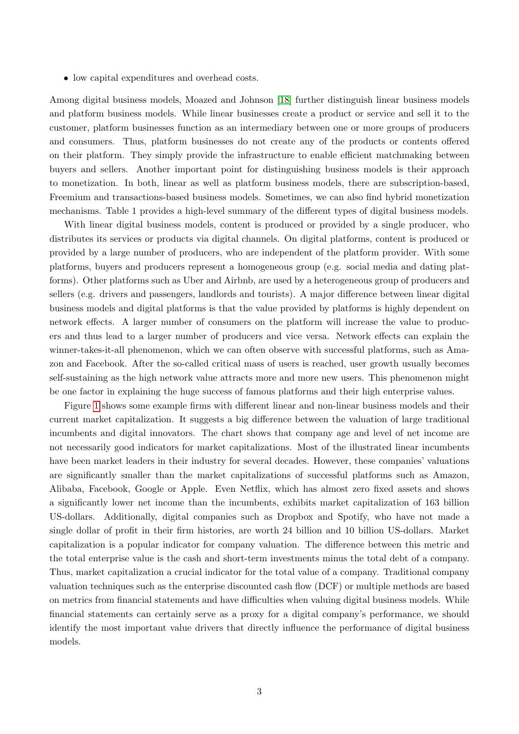• low capital expenditures and overhead costs.

Among digital business models, Moazed and Johnson [\[18\]](#page-14-2) further distinguish linear business models and platform business models. While linear businesses create a product or service and sell it to the customer, platform businesses function as an intermediary between one or more groups of producers and consumers. Thus, platform businesses do not create any of the products or contents offered on their platform. They simply provide the infrastructure to enable efficient matchmaking between buyers and sellers. Another important point for distinguishing business models is their approach to monetization. In both, linear as well as platform business models, there are subscription-based, Freemium and transactions-based business models. Sometimes, we can also find hybrid monetization mechanisms. Table 1 provides a high-level summary of the different types of digital business models.

With linear digital business models, content is produced or provided by a single producer, who distributes its services or products via digital channels. On digital platforms, content is produced or provided by a large number of producers, who are independent of the platform provider. With some platforms, buyers and producers represent a homogeneous group (e.g. social media and dating platforms). Other platforms such as Uber and Airbnb, are used by a heterogeneous group of producers and sellers (e.g. drivers and passengers, landlords and tourists). A major difference between linear digital business models and digital platforms is that the value provided by platforms is highly dependent on network effects. A larger number of consumers on the platform will increase the value to producers and thus lead to a larger number of producers and vice versa. Network effects can explain the winner-takes-it-all phenomenon, which we can often observe with successful platforms, such as Amazon and Facebook. After the so-called critical mass of users is reached, user growth usually becomes self-sustaining as the high network value attracts more and more new users. This phenomenon might be one factor in explaining the huge success of famous platforms and their high enterprise values.

Figure [1](#page-4-0) shows some example firms with different linear and non-linear business models and their current market capitalization. It suggests a big difference between the valuation of large traditional incumbents and digital innovators. The chart shows that company age and level of net income are not necessarily good indicators for market capitalizations. Most of the illustrated linear incumbents have been market leaders in their industry for several decades. However, these companies' valuations are significantly smaller than the market capitalizations of successful platforms such as Amazon, Alibaba, Facebook, Google or Apple. Even Netflix, which has almost zero fixed assets and shows a significantly lower net income than the incumbents, exhibits market capitalization of 163 billion US-dollars. Additionally, digital companies such as Dropbox and Spotify, who have not made a single dollar of profit in their firm histories, are worth 24 billion and 10 billion US-dollars. Market capitalization is a popular indicator for company valuation. The difference between this metric and the total enterprise value is the cash and short-term investments minus the total debt of a company. Thus, market capitalization a crucial indicator for the total value of a company. Traditional company valuation techniques such as the enterprise discounted cash flow (DCF) or multiple methods are based on metrics from financial statements and have difficulties when valuing digital business models. While financial statements can certainly serve as a proxy for a digital company's performance, we should identify the most important value drivers that directly influence the performance of digital business models.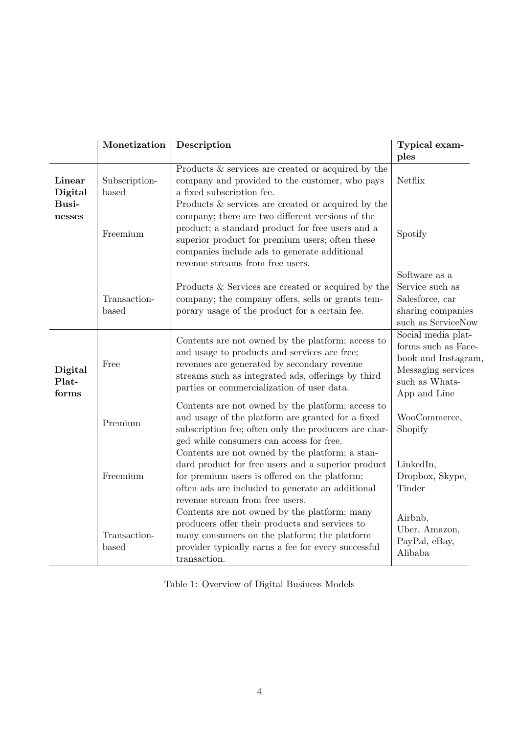|                           | Monetization           | Description                                                                                                                                                                                                                                                                                          | Typical exam-<br>ples                                                                                                    |
|---------------------------|------------------------|------------------------------------------------------------------------------------------------------------------------------------------------------------------------------------------------------------------------------------------------------------------------------------------------------|--------------------------------------------------------------------------------------------------------------------------|
| Linear<br>Digital         | Subscription-<br>based | Products & services are created or acquired by the<br>company and provided to the customer, who pays<br>a fixed subscription fee.                                                                                                                                                                    | Netflix                                                                                                                  |
| Busi-<br>nesses           | Freemium               | Products $\&$ services are created or acquired by the<br>company; there are two different versions of the<br>product; a standard product for free users and a<br>superior product for premium users; often these<br>companies include ads to generate additional<br>revenue streams from free users. | Spotify                                                                                                                  |
|                           | Transaction-<br>based  | Products & Services are created or acquired by the<br>company; the company offers, sells or grants tem-<br>porary usage of the product for a certain fee.                                                                                                                                            | Software as a<br>Service such as<br>Salesforce, car<br>sharing companies<br>such as ServiceNow                           |
| Digital<br>Plat-<br>forms | Free                   | Contents are not owned by the platform; access to<br>and usage to products and services are free;<br>revenues are generated by secondary revenue<br>streams such as integrated ads, offerings by third<br>parties or commercialization of user data.                                                 | Social media plat-<br>forms such as Face-<br>book and Instagram.<br>Messaging services<br>such as Whats-<br>App and Line |
|                           | Premium                | Contents are not owned by the platform; access to<br>and usage of the platform are granted for a fixed<br>subscription fee; often only the producers are char-<br>ged while consumers can access for free.                                                                                           | WooCommerce,<br>Shopify                                                                                                  |
|                           | Freemium               | Contents are not owned by the platform; a stan-<br>dard product for free users and a superior product<br>for premium users is offered on the platform;<br>often ads are included to generate an additional<br>revenue stream from free users.                                                        | LinkedIn,<br>Dropbox, Skype,<br>Tinder                                                                                   |
|                           | Transaction-<br>based  | Contents are not owned by the platform; many<br>producers offer their products and services to<br>many consumers on the platform; the platform<br>provider typically earns a fee for every successful<br>transaction.                                                                                | Airbnb,<br>Uber, Amazon,<br>PayPal, eBay,<br>Alibaba                                                                     |

Table 1: Overview of Digital Business Models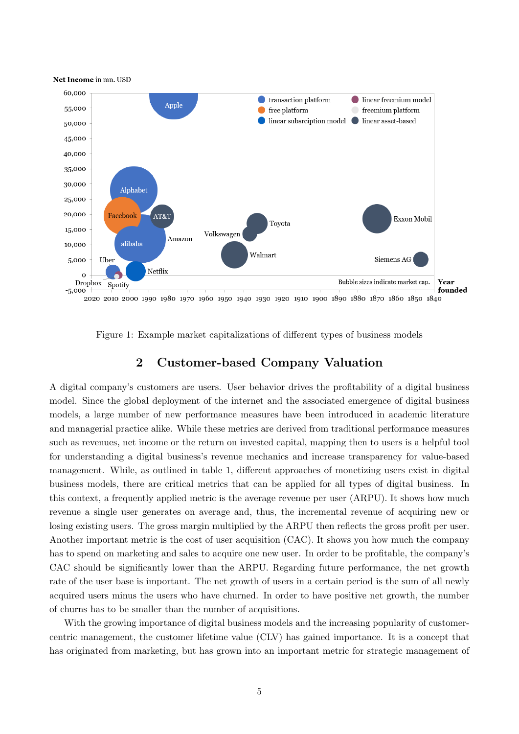

<span id="page-4-0"></span>Figure 1: Example market capitalizations of different types of business models

# 2 Customer-based Company Valuation

A digital company's customers are users. User behavior drives the profitability of a digital business model. Since the global deployment of the internet and the associated emergence of digital business models, a large number of new performance measures have been introduced in academic literature and managerial practice alike. While these metrics are derived from traditional performance measures such as revenues, net income or the return on invested capital, mapping then to users is a helpful tool for understanding a digital business's revenue mechanics and increase transparency for value-based management. While, as outlined in table 1, different approaches of monetizing users exist in digital business models, there are critical metrics that can be applied for all types of digital business. In this context, a frequently applied metric is the average revenue per user (ARPU). It shows how much revenue a single user generates on average and, thus, the incremental revenue of acquiring new or losing existing users. The gross margin multiplied by the ARPU then reflects the gross profit per user. Another important metric is the cost of user acquisition (CAC). It shows you how much the company has to spend on marketing and sales to acquire one new user. In order to be profitable, the company's CAC should be significantly lower than the ARPU. Regarding future performance, the net growth rate of the user base is important. The net growth of users in a certain period is the sum of all newly acquired users minus the users who have churned. In order to have positive net growth, the number of churns has to be smaller than the number of acquisitions.

With the growing importance of digital business models and the increasing popularity of customercentric management, the customer lifetime value (CLV) has gained importance. It is a concept that has originated from marketing, but has grown into an important metric for strategic management of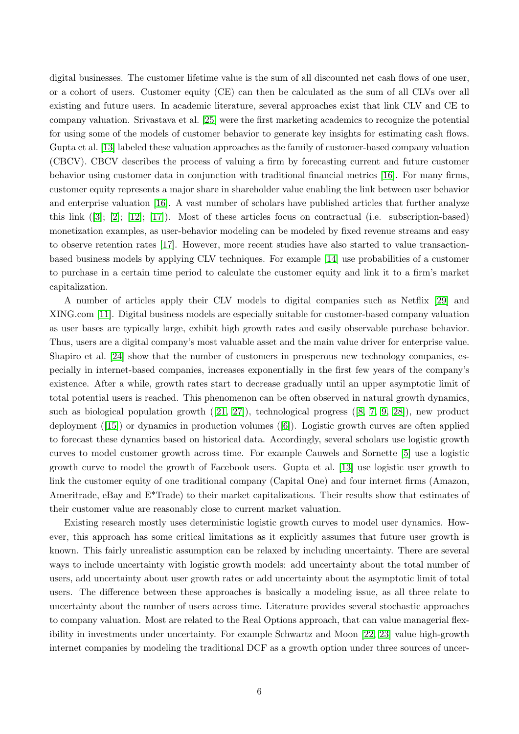digital businesses. The customer lifetime value is the sum of all discounted net cash flows of one user, or a cohort of users. Customer equity (CE) can then be calculated as the sum of all CLVs over all existing and future users. In academic literature, several approaches exist that link CLV and CE to company valuation. Srivastava et al. [\[25\]](#page-15-1) were the first marketing academics to recognize the potential for using some of the models of customer behavior to generate key insights for estimating cash flows. Gupta et al. [\[13\]](#page-14-3) labeled these valuation approaches as the family of customer-based company valuation (CBCV). CBCV describes the process of valuing a firm by forecasting current and future customer behavior using customer data in conjunction with traditional financial metrics [\[16\]](#page-14-4). For many firms, customer equity represents a major share in shareholder value enabling the link between user behavior and enterprise valuation [\[16\]](#page-14-4). A vast number of scholars have published articles that further analyze this link ([\[3\]](#page-12-1); [\[2\]](#page-12-2); [\[12\]](#page-14-5); [\[17\]](#page-14-6)). Most of these articles focus on contractual (i.e. subscription-based) monetization examples, as user-behavior modeling can be modeled by fixed revenue streams and easy to observe retention rates [\[17\]](#page-14-6). However, more recent studies have also started to value transactionbased business models by applying CLV techniques. For example [\[14\]](#page-14-7) use probabilities of a customer to purchase in a certain time period to calculate the customer equity and link it to a firm's market capitalization.

A number of articles apply their CLV models to digital companies such as Netflix [\[29\]](#page-15-2) and XING.com [\[11\]](#page-14-8). Digital business models are especially suitable for customer-based company valuation as user bases are typically large, exhibit high growth rates and easily observable purchase behavior. Thus, users are a digital company's most valuable asset and the main value driver for enterprise value. Shapiro et al. [\[24\]](#page-15-3) show that the number of customers in prosperous new technology companies, especially in internet-based companies, increases exponentially in the first few years of the company's existence. After a while, growth rates start to decrease gradually until an upper asymptotic limit of total potential users is reached. This phenomenon can be often observed in natural growth dynamics, such as biological population growth ([\[21,](#page-14-9) [27\]](#page-15-4)), technological progress ([\[8,](#page-14-10) [7,](#page-14-11) [9,](#page-14-12) [28\]](#page-15-5)), new product deployment ([\[15\]](#page-14-13)) or dynamics in production volumes ([\[6\]](#page-14-14)). Logistic growth curves are often applied to forecast these dynamics based on historical data. Accordingly, several scholars use logistic growth curves to model customer growth across time. For example Cauwels and Sornette [\[5\]](#page-12-3) use a logistic growth curve to model the growth of Facebook users. Gupta et al. [\[13\]](#page-14-3) use logistic user growth to link the customer equity of one traditional company (Capital One) and four internet firms (Amazon, Ameritrade, eBay and E\*Trade) to their market capitalizations. Their results show that estimates of their customer value are reasonably close to current market valuation.

Existing research mostly uses deterministic logistic growth curves to model user dynamics. However, this approach has some critical limitations as it explicitly assumes that future user growth is known. This fairly unrealistic assumption can be relaxed by including uncertainty. There are several ways to include uncertainty with logistic growth models: add uncertainty about the total number of users, add uncertainty about user growth rates or add uncertainty about the asymptotic limit of total users. The difference between these approaches is basically a modeling issue, as all three relate to uncertainty about the number of users across time. Literature provides several stochastic approaches to company valuation. Most are related to the Real Options approach, that can value managerial flexibility in investments under uncertainty. For example Schwartz and Moon [\[22,](#page-14-15) [23\]](#page-15-6) value high-growth internet companies by modeling the traditional DCF as a growth option under three sources of uncer-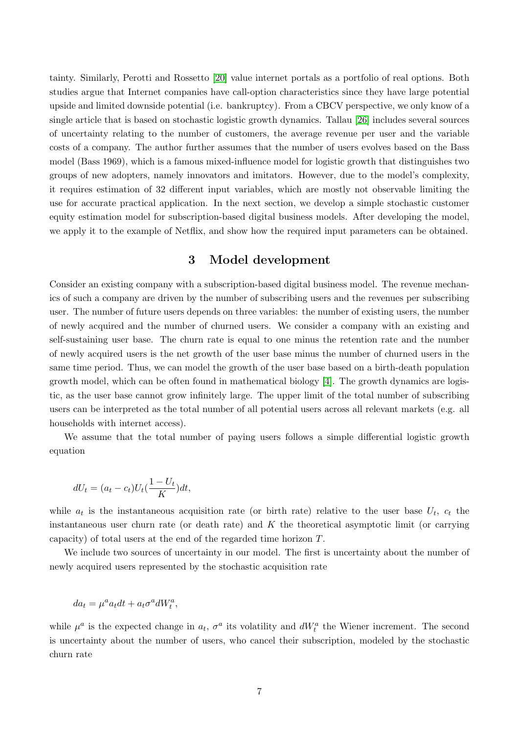tainty. Similarly, Perotti and Rossetto [\[20\]](#page-14-16) value internet portals as a portfolio of real options. Both studies argue that Internet companies have call-option characteristics since they have large potential upside and limited downside potential (i.e. bankruptcy). From a CBCV perspective, we only know of a single article that is based on stochastic logistic growth dynamics. Tallau [\[26\]](#page-15-7) includes several sources of uncertainty relating to the number of customers, the average revenue per user and the variable costs of a company. The author further assumes that the number of users evolves based on the Bass model (Bass 1969), which is a famous mixed-influence model for logistic growth that distinguishes two groups of new adopters, namely innovators and imitators. However, due to the model's complexity, it requires estimation of 32 different input variables, which are mostly not observable limiting the use for accurate practical application. In the next section, we develop a simple stochastic customer equity estimation model for subscription-based digital business models. After developing the model, we apply it to the example of Netflix, and show how the required input parameters can be obtained.

## 3 Model development

Consider an existing company with a subscription-based digital business model. The revenue mechanics of such a company are driven by the number of subscribing users and the revenues per subscribing user. The number of future users depends on three variables: the number of existing users, the number of newly acquired and the number of churned users. We consider a company with an existing and self-sustaining user base. The churn rate is equal to one minus the retention rate and the number of newly acquired users is the net growth of the user base minus the number of churned users in the same time period. Thus, we can model the growth of the user base based on a birth-death population growth model, which can be often found in mathematical biology [\[4\]](#page-12-4). The growth dynamics are logistic, as the user base cannot grow infinitely large. The upper limit of the total number of subscribing users can be interpreted as the total number of all potential users across all relevant markets (e.g. all households with internet access).

We assume that the total number of paying users follows a simple differential logistic growth equation

$$
dU_t = (a_t - c_t)U_t(\frac{1 - U_t}{K})dt,
$$

while  $a_t$  is the instantaneous acquisition rate (or birth rate) relative to the user base  $U_t$ ,  $c_t$  the instantaneous user churn rate (or death rate) and  $K$  the theoretical asymptotic limit (or carrying capacity) of total users at the end of the regarded time horizon T.

We include two sources of uncertainty in our model. The first is uncertainty about the number of newly acquired users represented by the stochastic acquisition rate

$$
da_t = \mu^a a_t dt + a_t \sigma^a dW_t^a,
$$

while  $\mu^a$  is the expected change in  $a_t$ ,  $\sigma^a$  its volatility and  $dW_t^a$  the Wiener increment. The second is uncertainty about the number of users, who cancel their subscription, modeled by the stochastic churn rate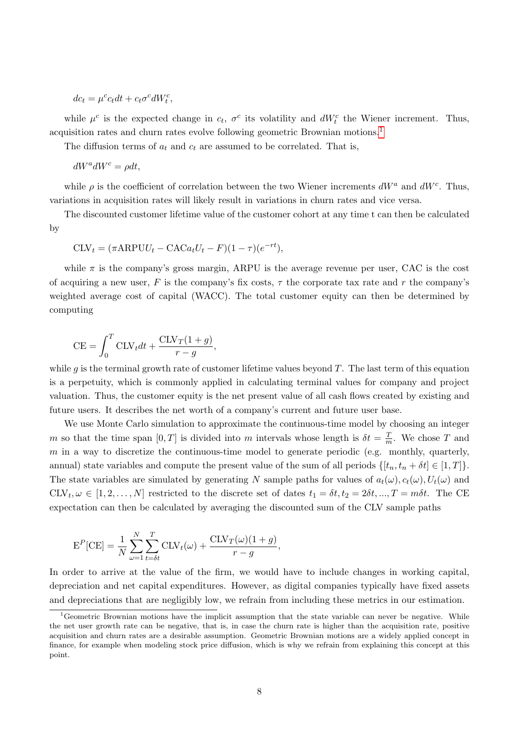$$
dc_t = \mu^c c_t dt + c_t \sigma^c dW_t^c,
$$

while  $\mu^c$  is the expected change in  $c_t$ ,  $\sigma^c$  its volatility and  $dW_t^c$  the Wiener increment. Thus, acquisition rates and churn rates evolve following geometric Brownian motions.[1](#page-7-0)

The diffusion terms of  $a_t$  and  $c_t$  are assumed to be correlated. That is,

 $dW^a dW^c = \rho dt$ ,

while  $\rho$  is the coefficient of correlation between the two Wiener increments  $dW^a$  and  $dW^c$ . Thus, variations in acquisition rates will likely result in variations in churn rates and vice versa.

The discounted customer lifetime value of the customer cohort at any time t can then be calculated by

$$
CLV_t = (\pi ARPUU_t - CACa_tU_t - F)(1 - \tau)(e^{-rt}),
$$

while  $\pi$  is the company's gross margin, ARPU is the average revenue per user, CAC is the cost of acquiring a new user, F is the company's fix costs,  $\tau$  the corporate tax rate and r the company's weighted average cost of capital (WACC). The total customer equity can then be determined by computing

$$
CE = \int_0^T CLV_t dt + \frac{CLV_T(1+g)}{r-g},
$$

while g is the terminal growth rate of customer lifetime values beyond  $T$ . The last term of this equation is a perpetuity, which is commonly applied in calculating terminal values for company and project valuation. Thus, the customer equity is the net present value of all cash flows created by existing and future users. It describes the net worth of a company's current and future user base.

We use Monte Carlo simulation to approximate the continuous-time model by choosing an integer m so that the time span  $[0,T]$  is divided into m intervals whose length is  $\delta t = \frac{T}{n}$  $\frac{T}{m}$ . We chose T and  $m$  in a way to discretize the continuous-time model to generate periodic (e.g. monthly, quarterly, annual) state variables and compute the present value of the sum of all periods  $\{[t_n, t_n + \delta t] \in [1, T]\}.$ The state variables are simulated by generating N sample paths for values of  $a_t(\omega)$ ,  $c_t(\omega)$ ,  $U_t(\omega)$  and  $\text{CLV}_t, \omega \in [1, 2, \ldots, N]$  restricted to the discrete set of dates  $t_1 = \delta t, t_2 = 2\delta t, ..., T = m\delta t$ . The CE expectation can then be calculated by averaging the discounted sum of the CLV sample paths

$$
EP[CE] = \frac{1}{N} \sum_{\omega=1}^{N} \sum_{t=\delta t}^{T} CLV_t(\omega) + \frac{CLV_T(\omega)(1+g)}{r-g},
$$

In order to arrive at the value of the firm, we would have to include changes in working capital, depreciation and net capital expenditures. However, as digital companies typically have fixed assets and depreciations that are negligibly low, we refrain from including these metrics in our estimation.

<span id="page-7-0"></span><sup>&</sup>lt;sup>1</sup>Geometric Brownian motions have the implicit assumption that the state variable can never be negative. While the net user growth rate can be negative, that is, in case the churn rate is higher than the acquisition rate, positive acquisition and churn rates are a desirable assumption. Geometric Brownian motions are a widely applied concept in finance, for example when modeling stock price diffusion, which is why we refrain from explaining this concept at this point.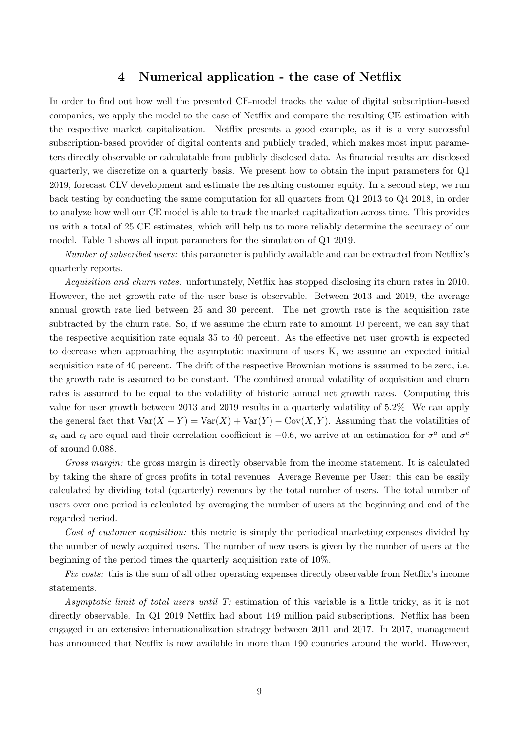#### 4 Numerical application - the case of Netflix

In order to find out how well the presented CE-model tracks the value of digital subscription-based companies, we apply the model to the case of Netflix and compare the resulting CE estimation with the respective market capitalization. Netflix presents a good example, as it is a very successful subscription-based provider of digital contents and publicly traded, which makes most input parameters directly observable or calculatable from publicly disclosed data. As financial results are disclosed quarterly, we discretize on a quarterly basis. We present how to obtain the input parameters for Q1 2019, forecast CLV development and estimate the resulting customer equity. In a second step, we run back testing by conducting the same computation for all quarters from Q1 2013 to Q4 2018, in order to analyze how well our CE model is able to track the market capitalization across time. This provides us with a total of 25 CE estimates, which will help us to more reliably determine the accuracy of our model. Table 1 shows all input parameters for the simulation of Q1 2019.

Number of subscribed users: this parameter is publicly available and can be extracted from Netflix's quarterly reports.

Acquisition and churn rates: unfortunately, Netflix has stopped disclosing its churn rates in 2010. However, the net growth rate of the user base is observable. Between 2013 and 2019, the average annual growth rate lied between 25 and 30 percent. The net growth rate is the acquisition rate subtracted by the churn rate. So, if we assume the churn rate to amount 10 percent, we can say that the respective acquisition rate equals 35 to 40 percent. As the effective net user growth is expected to decrease when approaching the asymptotic maximum of users K, we assume an expected initial acquisition rate of 40 percent. The drift of the respective Brownian motions is assumed to be zero, i.e. the growth rate is assumed to be constant. The combined annual volatility of acquisition and churn rates is assumed to be equal to the volatility of historic annual net growth rates. Computing this value for user growth between 2013 and 2019 results in a quarterly volatility of 5.2%. We can apply the general fact that  $Var(X - Y) = Var(X) + Var(Y) - Cov(X, Y)$ . Assuming that the volatilities of  $a_t$  and  $c_t$  are equal and their correlation coefficient is  $-0.6$ , we arrive at an estimation for  $\sigma^a$  and  $\sigma^c$ of around 0.088.

Gross margin: the gross margin is directly observable from the income statement. It is calculated by taking the share of gross profits in total revenues. Average Revenue per User: this can be easily calculated by dividing total (quarterly) revenues by the total number of users. The total number of users over one period is calculated by averaging the number of users at the beginning and end of the regarded period.

Cost of customer acquisition: this metric is simply the periodical marketing expenses divided by the number of newly acquired users. The number of new users is given by the number of users at the beginning of the period times the quarterly acquisition rate of 10%.

Fix costs: this is the sum of all other operating expenses directly observable from Netflix's income statements.

Asymptotic limit of total users until T: estimation of this variable is a little tricky, as it is not directly observable. In Q1 2019 Netflix had about 149 million paid subscriptions. Netflix has been engaged in an extensive internationalization strategy between 2011 and 2017. In 2017, management has announced that Netflix is now available in more than 190 countries around the world. However,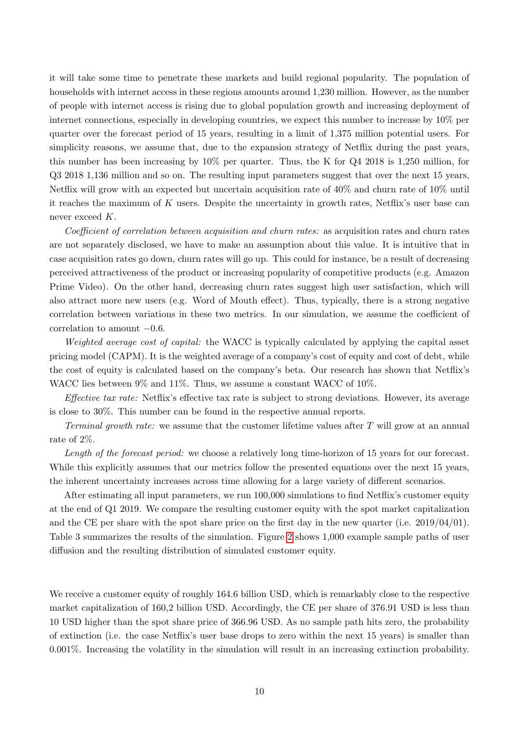it will take some time to penetrate these markets and build regional popularity. The population of households with internet access in these regions amounts around 1,230 million. However, as the number of people with internet access is rising due to global population growth and increasing deployment of internet connections, especially in developing countries, we expect this number to increase by 10% per quarter over the forecast period of 15 years, resulting in a limit of 1,375 million potential users. For simplicity reasons, we assume that, due to the expansion strategy of Netflix during the past years, this number has been increasing by 10% per quarter. Thus, the K for Q4 2018 is 1,250 million, for Q3 2018 1,136 million and so on. The resulting input parameters suggest that over the next 15 years, Netflix will grow with an expected but uncertain acquisition rate of 40% and churn rate of 10% until it reaches the maximum of  $K$  users. Despite the uncertainty in growth rates, Netflix's user base can never exceed K.

Coefficient of correlation between acquisition and churn rates: as acquisition rates and churn rates are not separately disclosed, we have to make an assumption about this value. It is intuitive that in case acquisition rates go down, churn rates will go up. This could for instance, be a result of decreasing perceived attractiveness of the product or increasing popularity of competitive products (e.g. Amazon Prime Video). On the other hand, decreasing churn rates suggest high user satisfaction, which will also attract more new users (e.g. Word of Mouth effect). Thus, typically, there is a strong negative correlation between variations in these two metrics. In our simulation, we assume the coefficient of correlation to amount −0.6.

Weighted average cost of capital: the WACC is typically calculated by applying the capital asset pricing model (CAPM). It is the weighted average of a company's cost of equity and cost of debt, while the cost of equity is calculated based on the company's beta. Our research has shown that Netflix's WACC lies between 9% and 11%. Thus, we assume a constant WACC of 10%.

Effective tax rate: Netflix's effective tax rate is subject to strong deviations. However, its average is close to 30%. This number can be found in the respective annual reports.

Terminal growth rate: we assume that the customer lifetime values after T will grow at an annual rate of 2%.

Length of the forecast period: we choose a relatively long time-horizon of 15 years for our forecast. While this explicitly assumes that our metrics follow the presented equations over the next 15 years, the inherent uncertainty increases across time allowing for a large variety of different scenarios.

After estimating all input parameters, we run 100,000 simulations to find Netflix's customer equity at the end of Q1 2019. We compare the resulting customer equity with the spot market capitalization and the CE per share with the spot share price on the first day in the new quarter (i.e.  $2019/04/01$ ). Table 3 summarizes the results of the simulation. Figure [2](#page-11-0) shows 1,000 example sample paths of user diffusion and the resulting distribution of simulated customer equity.

We receive a customer equity of roughly 164.6 billion USD, which is remarkably close to the respective market capitalization of 160,2 billion USD. Accordingly, the CE per share of 376.91 USD is less than 10 USD higher than the spot share price of 366.96 USD. As no sample path hits zero, the probability of extinction (i.e. the case Netflix's user base drops to zero within the next 15 years) is smaller than 0.001%. Increasing the volatility in the simulation will result in an increasing extinction probability.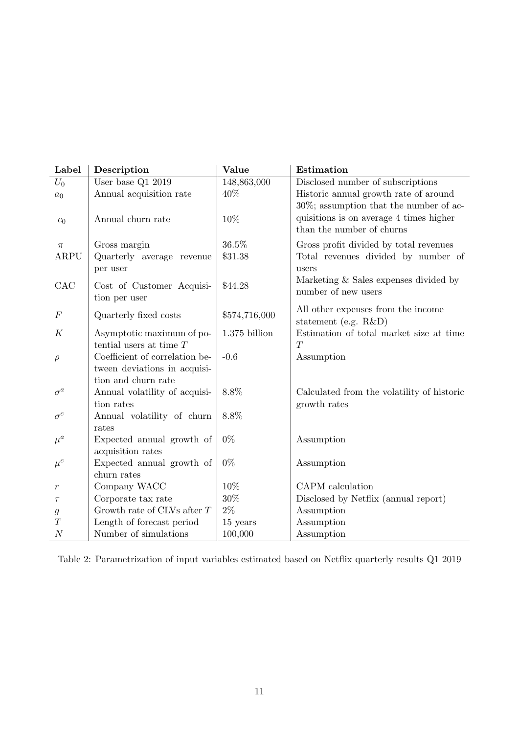| Label              | Description                    | Value           | Estimation                                 |
|--------------------|--------------------------------|-----------------|--------------------------------------------|
| $U_0$              | User base $Q1$ 2019            | 148,863,000     | Disclosed number of subscriptions          |
| a <sub>0</sub>     | Annual acquisition rate        | 40%             | Historic annual growth rate of around      |
|                    |                                |                 | $30\%$ ; assumption that the number of ac- |
| $\boldsymbol{c}_0$ | Annual churn rate              | 10%             | quisitions is on average 4 times higher    |
|                    |                                |                 | than the number of churns                  |
| $\pi$              | Gross margin                   | 36.5%           | Gross profit divided by total revenues     |
| ARPU               | Quarterly average revenue      | \$31.38         | Total revenues divided by number of        |
|                    | per user                       |                 | users                                      |
| CAC                | Cost of Customer Acquisi-      | \$44.28         | Marketing & Sales expenses divided by      |
|                    | tion per user                  |                 | number of new users                        |
|                    |                                |                 | All other expenses from the income         |
| $\,F$              | Quarterly fixed costs          | \$574,716,000   | statement (e.g. R&D)                       |
| K                  | Asymptotic maximum of po-      | $1.375$ billion | Estimation of total market size at time    |
|                    | tential users at time $T$      |                 | T                                          |
| $\rho$             | Coefficient of correlation be- | $-0.6$          | Assumption                                 |
|                    | tween deviations in acquisi-   |                 |                                            |
|                    | tion and churn rate            |                 |                                            |
| $\sigma^a$         | Annual volatility of acquisi-  | 8.8%            | Calculated from the volatility of historic |
|                    | tion rates                     |                 | growth rates                               |
| $\sigma^c$         | Annual volatility of churn     | 8.8%            |                                            |
|                    | rates                          |                 |                                            |
| $\mu^a$            | Expected annual growth of      | $0\%$           | Assumption                                 |
|                    | acquisition rates              |                 |                                            |
| $\mu^{c}$          | Expected annual growth of      | $0\%$           | Assumption                                 |
|                    | churn rates                    |                 |                                            |
| $\,r$              | Company WACC                   | 10%             | CAPM calculation                           |
| $\tau$             | Corporate tax rate             | 30%             | Disclosed by Netflix (annual report)       |
| $\mathfrak g$      | Growth rate of CLVs after $T$  | $2\%$           | Assumption                                 |
| T                  | Length of forecast period      | 15 years        | Assumption                                 |
| $\cal N$           | Number of simulations          | 100,000         | Assumption                                 |

Table 2: Parametrization of input variables estimated based on Netflix quarterly results Q1 2019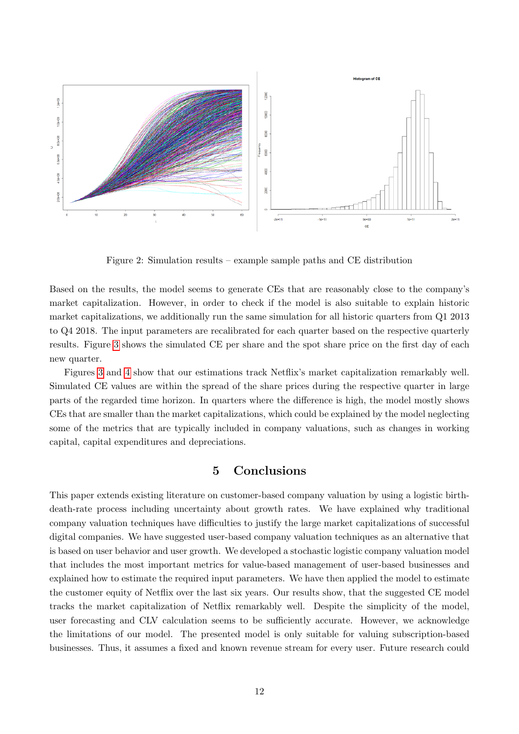

Figure 2: Simulation results – example sample paths and CE distribution

<span id="page-11-0"></span>Based on the results, the model seems to generate CEs that are reasonably close to the company's market capitalization. However, in order to check if the model is also suitable to explain historic market capitalizations, we additionally run the same simulation for all historic quarters from Q1 2013 to Q4 2018. The input parameters are recalibrated for each quarter based on the respective quarterly results. Figure [3](#page-12-5) shows the simulated CE per share and the spot share price on the first day of each new quarter.

Figures [3](#page-12-5) and [4](#page-13-0) show that our estimations track Netflix's market capitalization remarkably well. Simulated CE values are within the spread of the share prices during the respective quarter in large parts of the regarded time horizon. In quarters where the difference is high, the model mostly shows CEs that are smaller than the market capitalizations, which could be explained by the model neglecting some of the metrics that are typically included in company valuations, such as changes in working capital, capital expenditures and depreciations.

## 5 Conclusions

This paper extends existing literature on customer-based company valuation by using a logistic birthdeath-rate process including uncertainty about growth rates. We have explained why traditional company valuation techniques have difficulties to justify the large market capitalizations of successful digital companies. We have suggested user-based company valuation techniques as an alternative that is based on user behavior and user growth. We developed a stochastic logistic company valuation model that includes the most important metrics for value-based management of user-based businesses and explained how to estimate the required input parameters. We have then applied the model to estimate the customer equity of Netflix over the last six years. Our results show, that the suggested CE model tracks the market capitalization of Netflix remarkably well. Despite the simplicity of the model, user forecasting and CLV calculation seems to be sufficiently accurate. However, we acknowledge the limitations of our model. The presented model is only suitable for valuing subscription-based businesses. Thus, it assumes a fixed and known revenue stream for every user. Future research could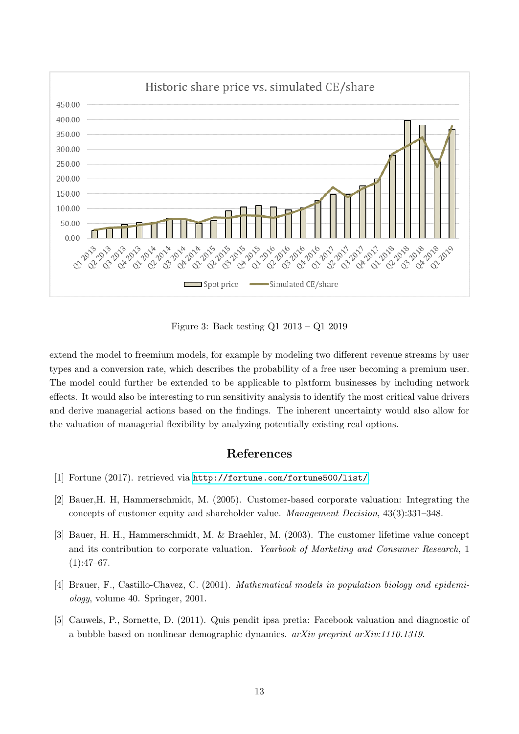

Figure 3: Back testing Q1 2013 – Q1 2019

<span id="page-12-5"></span>extend the model to freemium models, for example by modeling two different revenue streams by user types and a conversion rate, which describes the probability of a free user becoming a premium user. The model could further be extended to be applicable to platform businesses by including network effects. It would also be interesting to run sensitivity analysis to identify the most critical value drivers and derive managerial actions based on the findings. The inherent uncertainty would also allow for the valuation of managerial flexibility by analyzing potentially existing real options.

# References

- <span id="page-12-0"></span>[1] Fortune (2017). retrieved via <http://fortune.com/fortune500/list/>.
- <span id="page-12-2"></span>[2] Bauer,H. H, Hammerschmidt, M. (2005). Customer-based corporate valuation: Integrating the concepts of customer equity and shareholder value. Management Decision, 43(3):331–348.
- <span id="page-12-1"></span>[3] Bauer, H. H., Hammerschmidt, M. & Braehler, M. (2003). The customer lifetime value concept and its contribution to corporate valuation. Yearbook of Marketing and Consumer Research, 1  $(1):47-67.$
- <span id="page-12-4"></span>[4] Brauer, F., Castillo-Chavez, C. (2001). Mathematical models in population biology and epidemiology, volume 40. Springer, 2001.
- <span id="page-12-3"></span>[5] Cauwels, P., Sornette, D. (2011). Quis pendit ipsa pretia: Facebook valuation and diagnostic of a bubble based on nonlinear demographic dynamics.  $arXiv$  preprint  $arXiv:1110.1319$ .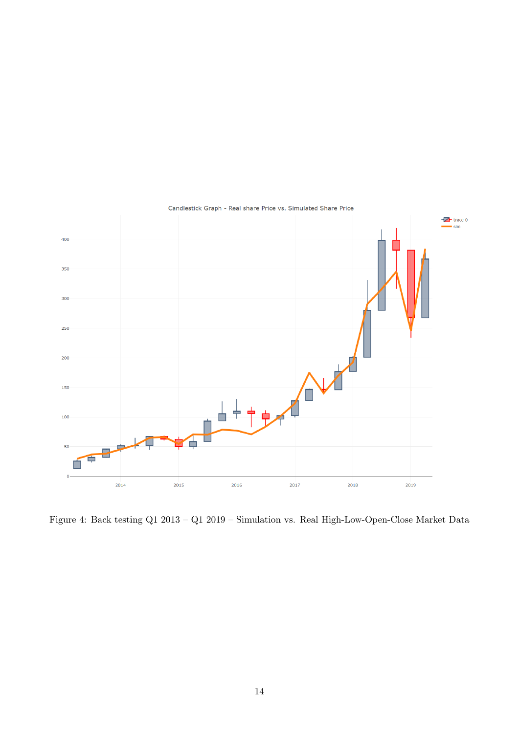

<span id="page-13-0"></span>Figure 4: Back testing Q1 2013 – Q1 2019 – Simulation vs. Real High-Low-Open-Close Market Data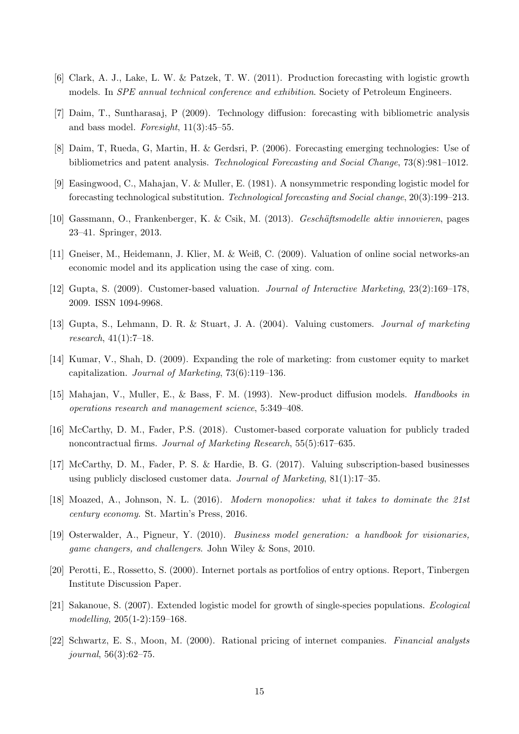- <span id="page-14-14"></span>[6] Clark, A. J., Lake, L. W. & Patzek, T. W. (2011). Production forecasting with logistic growth models. In *SPE* annual technical conference and exhibition. Society of Petroleum Engineers.
- <span id="page-14-11"></span>[7] Daim, T., Suntharasaj, P (2009). Technology diffusion: forecasting with bibliometric analysis and bass model. Foresight,  $11(3):45-55$ .
- <span id="page-14-10"></span>[8] Daim, T, Rueda, G, Martin, H. & Gerdsri, P. (2006). Forecasting emerging technologies: Use of bibliometrics and patent analysis. Technological Forecasting and Social Change, 73(8):981–1012.
- <span id="page-14-12"></span>[9] Easingwood, C., Mahajan, V. & Muller, E. (1981). A nonsymmetric responding logistic model for forecasting technological substitution. Technological forecasting and Social change, 20(3):199–213.
- <span id="page-14-1"></span>[10] Gassmann, O., Frankenberger, K. & Csik, M. (2013). Geschäftsmodelle aktiv innovieren, pages 23–41. Springer, 2013.
- <span id="page-14-8"></span>[11] Gneiser, M., Heidemann, J. Klier, M. & Weiß, C. (2009). Valuation of online social networks-an economic model and its application using the case of xing. com.
- <span id="page-14-5"></span>[12] Gupta, S. (2009). Customer-based valuation. Journal of Interactive Marketing, 23(2):169–178, 2009. ISSN 1094-9968.
- <span id="page-14-3"></span>[13] Gupta, S., Lehmann, D. R. & Stuart, J. A. (2004). Valuing customers. Journal of marketing research, 41(1):7–18.
- <span id="page-14-7"></span>[14] Kumar, V., Shah, D. (2009). Expanding the role of marketing: from customer equity to market capitalization. Journal of Marketing, 73(6):119–136.
- <span id="page-14-13"></span>[15] Mahajan, V., Muller, E., & Bass, F. M. (1993). New-product diffusion models. Handbooks in operations research and management science, 5:349–408.
- <span id="page-14-4"></span>[16] McCarthy, D. M., Fader, P.S. (2018). Customer-based corporate valuation for publicly traded noncontractual firms. Journal of Marketing Research, 55(5):617–635.
- <span id="page-14-6"></span>[17] McCarthy, D. M., Fader, P. S. & Hardie, B. G. (2017). Valuing subscription-based businesses using publicly disclosed customer data. Journal of Marketing,  $81(1):17-35$ .
- <span id="page-14-2"></span>[18] Moazed, A., Johnson, N. L. (2016). Modern monopolies: what it takes to dominate the 21st century economy. St. Martin's Press, 2016.
- <span id="page-14-0"></span>[19] Osterwalder, A., Pigneur, Y. (2010). Business model generation: a handbook for visionaries, game changers, and challengers. John Wiley & Sons, 2010.
- <span id="page-14-16"></span>[20] Perotti, E., Rossetto, S. (2000). Internet portals as portfolios of entry options. Report, Tinbergen Institute Discussion Paper.
- <span id="page-14-9"></span>[21] Sakanoue, S. (2007). Extended logistic model for growth of single-species populations. Ecological modelling, 205(1-2):159–168.
- <span id="page-14-15"></span>[22] Schwartz, E. S., Moon, M. (2000). Rational pricing of internet companies. Financial analysts journal, 56(3):62–75.